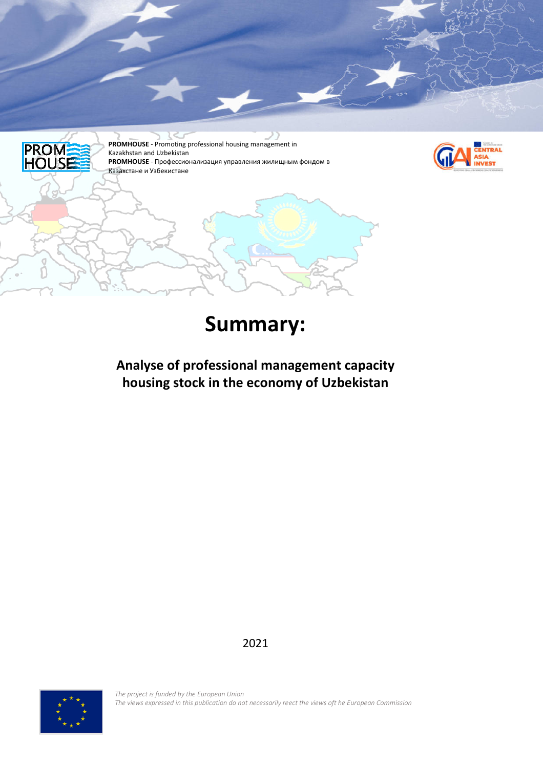

# **Summary:**

**Analyse of professional management capacity housing stock in the economy of Uzbekistan** 

2021



*The project is funded by the European Union The views expressed in this publication do not necessarily reect the views oft he European Commission*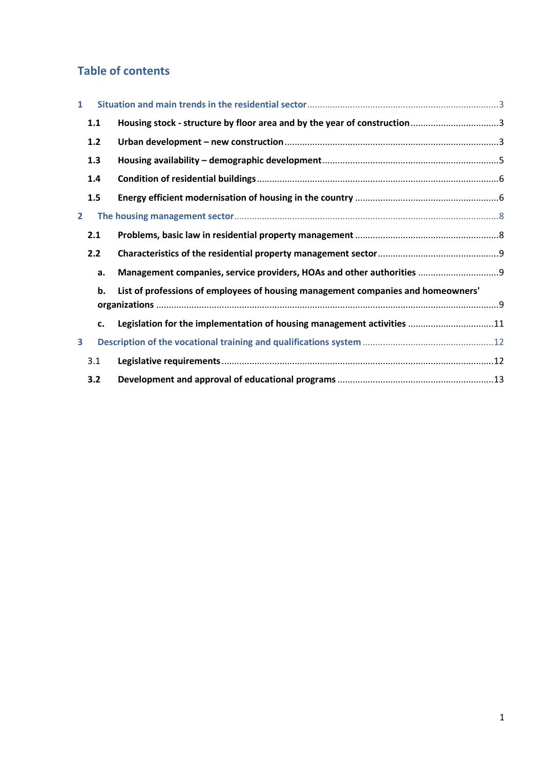# **Table of contents**

| $\mathbf{1}$ |     |                                                                                  |  |
|--------------|-----|----------------------------------------------------------------------------------|--|
|              | 1.1 |                                                                                  |  |
|              | 1.2 |                                                                                  |  |
|              | 1.3 |                                                                                  |  |
| 1.4<br>1.5   |     |                                                                                  |  |
|              |     |                                                                                  |  |
| 2            |     |                                                                                  |  |
|              | 2.1 |                                                                                  |  |
| 2.2          |     |                                                                                  |  |
|              | a.  | Management companies, service providers, HOAs and other authorities  9           |  |
|              | b.  | List of professions of employees of housing management companies and homeowners' |  |
|              |     |                                                                                  |  |
|              | c.  | Legislation for the implementation of housing management activities 11           |  |
| 3            |     |                                                                                  |  |
|              | 3.1 |                                                                                  |  |
|              | 3.2 |                                                                                  |  |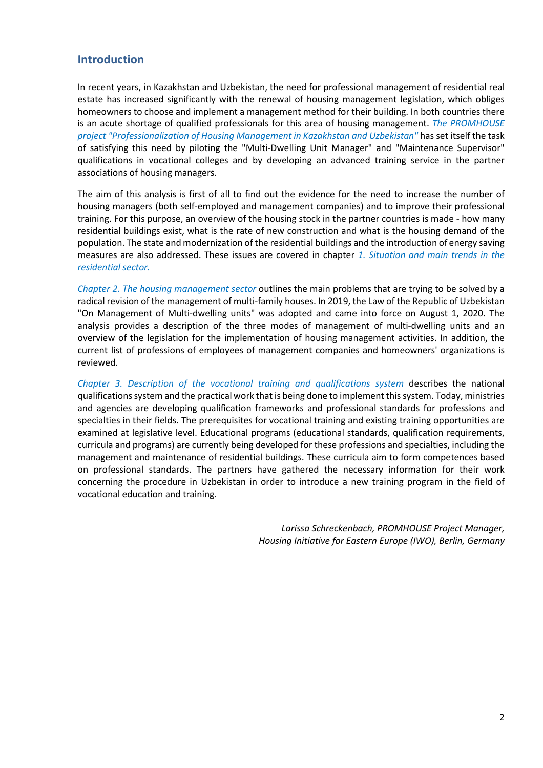#### **Introduction**

In recent years, in Kazakhstan and Uzbekistan, the need for professional management of residential real estate has increased significantly with the renewal of housing management legislation, which obliges homeowners to choose and implement a management method for their building. In both countries there is an acute shortage of qualified professionals for this area of housing management. *The PROMHOUSE project "Professionalization of Housing Management in Kazakhstan and Uzbekistan"* has set itself the task of satisfying this need by piloting the "Multi-Dwelling Unit Manager" and "Maintenance Supervisor" qualifications in vocational colleges and by developing an advanced training service in the partner associations of housing managers.

The aim of this analysis is first of all to find out the evidence for the need to increase the number of housing managers (both self-employed and management companies) and to improve their professional training. For this purpose, an overview of the housing stock in the partner countries is made - how many residential buildings exist, what is the rate of new construction and what is the housing demand of the population. The state and modernization of the residential buildings and the introduction of energy saving measures are also addressed. These issues are covered in chapter *1. Situation and main trends in the residential sector.* 

*Chapter 2. The housing management sector* outlines the main problems that are trying to be solved by a radical revision of the management of multi-family houses. In 2019, the Law of the Republic of Uzbekistan "On Management of Multi-dwelling units" was adopted and came into force on August 1, 2020. The analysis provides a description of the three modes of management of multi-dwelling units and an overview of the legislation for the implementation of housing management activities. In addition, the current list of professions of employees of management companies and homeowners' organizations is reviewed.

*Chapter 3. Description of the vocational training and qualifications system* describes the national qualifications system and the practical work that is being done to implement this system. Today, ministries and agencies are developing qualification frameworks and professional standards for professions and specialties in their fields. The prerequisites for vocational training and existing training opportunities are examined at legislative level. Educational programs (educational standards, qualification requirements, curricula and programs) are currently being developed for these professions and specialties, including the management and maintenance of residential buildings. These curricula aim to form competences based on professional standards. The partners have gathered the necessary information for their work concerning the procedure in Uzbekistan in order to introduce a new training program in the field of vocational education and training.

> *Larissa Schreckenbach, PROMHOUSE Project Manager, Housing Initiative for Eastern Europe (IWO), Berlin, Germany*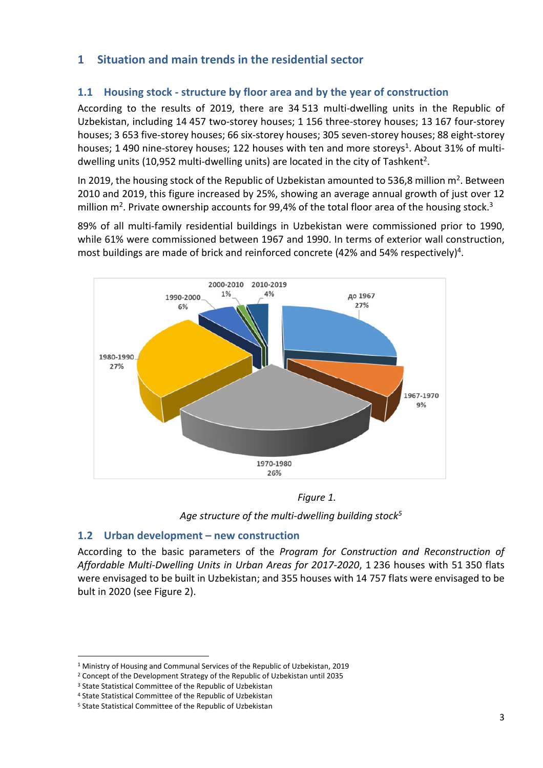# **1 Situation and main trends in the residential sector**

### **1.1 Housing stock - structure by floor area and by the year of construction**

According to the results of 2019, there are 34 513 multi-dwelling units in the Republic of Uzbekistan, including 14 457 two-storey houses; 1 156 three-storey houses; 13 167 four-storey houses; 3 653 five-storey houses; 66 six-storey houses; 305 seven-storey houses; 88 eight-storey houses; 1 490 nine-storey houses; 122 houses with ten and more storeys<sup>1</sup>. About 31% of multidwelling units (10,952 multi-dwelling units) are located in the city of Tashkent<sup>2</sup>.

In 2019, the housing stock of the Republic of Uzbekistan amounted to 536,8 million  $m^2$ . Between 2010 and 2019, this figure increased by 25%, showing an average annual growth of just over 12 million m<sup>2</sup>. Private ownership accounts for 99,4% of the total floor area of the housing stock.<sup>3</sup>

89% of all multi-family residential buildings in Uzbekistan were commissioned prior to 1990, while 61% were commissioned between 1967 and 1990. In terms of exterior wall construction, most buildings are made of brick and reinforced concrete (42% and 54% respectively)<sup>4</sup>.



*Figure 1.* 

*Age structure of the multi-dwelling building stock<sup>5</sup>*

### **1.2 Urban development – new construction**

According to the basic parameters of the *Program for Construction and Reconstruction of Affordable Multi-Dwelling Units in Urban Areas for 2017-2020*, 1 236 houses with 51 350 flats were envisaged to be built in Uzbekistan; and 355 houses with 14 757 flats were envisaged to be bult in 2020 (see Figure 2).

<sup>&</sup>lt;sup>1</sup> Ministry of Housing and Communal Services of the Republic of Uzbekistan, 2019

<sup>2</sup> Concept of the Development Strategy of the Republic of Uzbekistan until 2035

<sup>&</sup>lt;sup>3</sup> State Statistical Committee of the Republic of Uzbekistan

<sup>4</sup> State Statistical Committee of the Republic of Uzbekistan

<sup>5</sup> State Statistical Committee of the Republic of Uzbekistan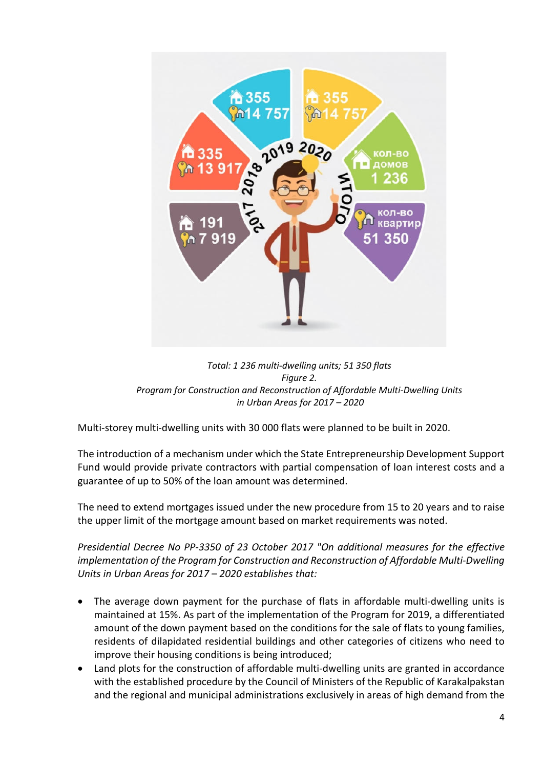

*Total: 1 236 multi-dwelling units; 51 350 flats Figure 2. Program for Construction and Reconstruction of Affordable Multi-Dwelling Units in Urban Areas for 2017 – 2020* 

Multi-storey multi-dwelling units with 30 000 flats were planned to be built in 2020.

The introduction of a mechanism under which the State Entrepreneurship Development Support Fund would provide private contractors with partial compensation of loan interest costs and a guarantee of up to 50% of the loan amount was determined.

The need to extend mortgages issued under the new procedure from 15 to 20 years and to raise the upper limit of the mortgage amount based on market requirements was noted.

*Presidential Decree No PP-3350 of 23 October 2017 "On additional measures for the effective implementation of the Program for Construction and Reconstruction of Affordable Multi-Dwelling Units in Urban Areas for 2017 – 2020 establishes that:* 

- The average down payment for the purchase of flats in affordable multi-dwelling units is maintained at 15%. As part of the implementation of the Program for 2019, a differentiated amount of the down payment based on the conditions for the sale of flats to young families, residents of dilapidated residential buildings and other categories of citizens who need to improve their housing conditions is being introduced;
- Land plots for the construction of affordable multi-dwelling units are granted in accordance with the established procedure by the Council of Ministers of the Republic of Karakalpakstan and the regional and municipal administrations exclusively in areas of high demand from the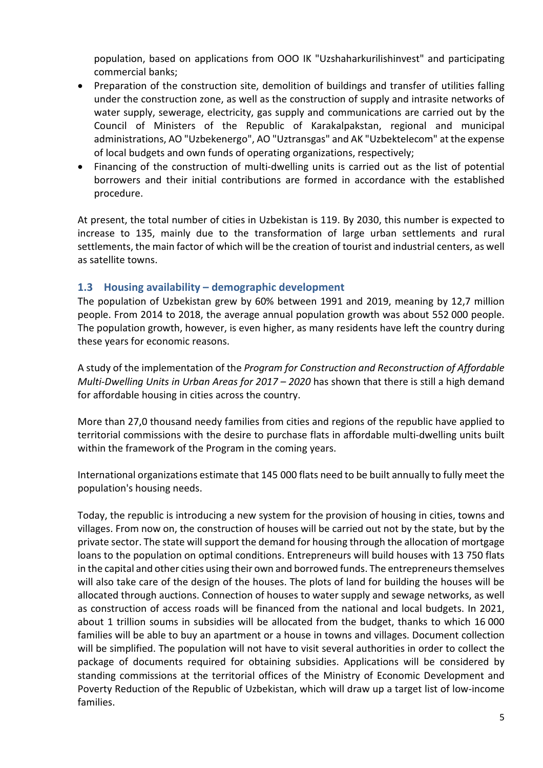population, based on applications from OOO IK "Uzshaharkurilishinvest" and participating commercial banks;

- Preparation of the construction site, demolition of buildings and transfer of utilities falling under the construction zone, as well as the construction of supply and intrasite networks of water supply, sewerage, electricity, gas supply and communications are carried out by the Council of Ministers of the Republic of Karakalpakstan, regional and municipal administrations, AO "Uzbekenergo", AO "Uztransgas" and AK "Uzbektelecom" at the expense of local budgets and own funds of operating organizations, respectively;
- Financing of the construction of multi-dwelling units is carried out as the list of potential borrowers and their initial contributions are formed in accordance with the established procedure.

At present, the total number of cities in Uzbekistan is 119. By 2030, this number is expected to increase to 135, mainly due to the transformation of large urban settlements and rural settlements, the main factor of which will be the creation of tourist and industrial centers, as well as satellite towns.

#### **1.3 Housing availability – demographic development**

The population of Uzbekistan grew by 60% between 1991 and 2019, meaning by 12,7 million people. From 2014 to 2018, the average annual population growth was about 552 000 people. The population growth, however, is even higher, as many residents have left the country during these years for economic reasons.

A study of the implementation of the *Program for Construction and Reconstruction of Affordable Multi-Dwelling Units in Urban Areas for 2017 – 2020* has shown that there is still a high demand for affordable housing in cities across the country.

More than 27,0 thousand needy families from cities and regions of the republic have applied to territorial commissions with the desire to purchase flats in affordable multi-dwelling units built within the framework of the Program in the coming years.

International organizations estimate that 145 000 flats need to be built annually to fully meet the population's housing needs.

Today, the republic is introducing a new system for the provision of housing in cities, towns and villages. From now on, the construction of houses will be carried out not by the state, but by the private sector. The state will support the demand for housing through the allocation of mortgage loans to the population on optimal conditions. Entrepreneurs will build houses with 13 750 flats in the capital and other cities using their own and borrowed funds. The entrepreneurs themselves will also take care of the design of the houses. The plots of land for building the houses will be allocated through auctions. Connection of houses to water supply and sewage networks, as well as construction of access roads will be financed from the national and local budgets. In 2021, about 1 trillion soums in subsidies will be allocated from the budget, thanks to which 16 000 families will be able to buy an apartment or a house in towns and villages. Document collection will be simplified. The population will not have to visit several authorities in order to collect the package of documents required for obtaining subsidies. Applications will be considered by standing commissions at the territorial offices of the Ministry of Economic Development and Poverty Reduction of the Republic of Uzbekistan, which will draw up a target list of low-income families.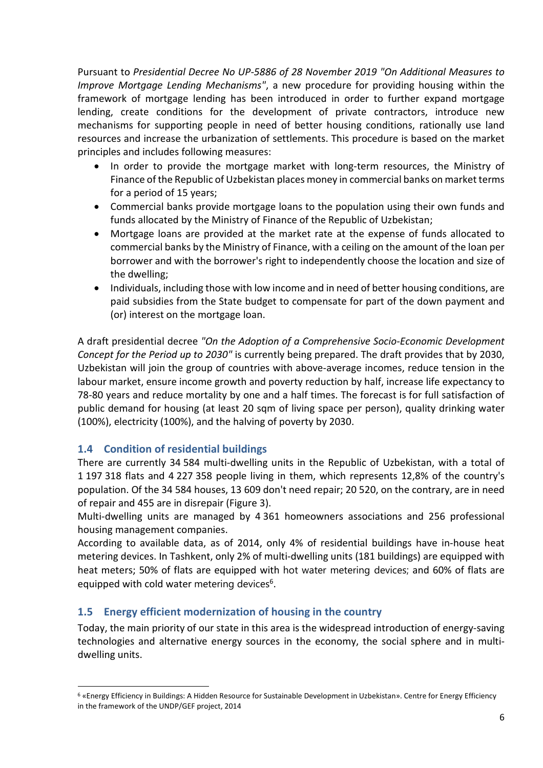Pursuant to *Presidential Decree No UP-5886 of 28 November 2019 "On Additional Measures to Improve Mortgage Lending Mechanisms"*, a new procedure for providing housing within the framework of mortgage lending has been introduced in order to further expand mortgage lending, create conditions for the development of private contractors, introduce new mechanisms for supporting people in need of better housing conditions, rationally use land resources and increase the urbanization of settlements. This procedure is based on the market principles and includes following measures:

- In order to provide the mortgage market with long-term resources, the Ministry of Finance of the Republic of Uzbekistan places money in commercial banks on market terms for a period of 15 years;
- Commercial banks provide mortgage loans to the population using their own funds and funds allocated by the Ministry of Finance of the Republic of Uzbekistan;
- Mortgage loans are provided at the market rate at the expense of funds allocated to commercial banks by the Ministry of Finance, with a ceiling on the amount of the loan per borrower and with the borrower's right to independently choose the location and size of the dwelling;
- Individuals, including those with low income and in need of better housing conditions, are paid subsidies from the State budget to compensate for part of the down payment and (or) interest on the mortgage loan.

A draft presidential decree *"On the Adoption of a Comprehensive Socio-Economic Development Concept for the Period up to 2030"* is currently being prepared. The draft provides that by 2030, Uzbekistan will join the group of countries with above-average incomes, reduce tension in the labour market, ensure income growth and poverty reduction by half, increase life expectancy to 78-80 years and reduce mortality by one and a half times. The forecast is for full satisfaction of public demand for housing (at least 20 sqm of living space per person), quality drinking water (100%), electricity (100%), and the halving of poverty by 2030.

### **1.4 Condition of residential buildings**

There are currently 34 584 multi-dwelling units in the Republic of Uzbekistan, with a total of 1 197 318 flats and 4 227 358 people living in them, which represents 12,8% of the country's population. Of the 34 584 houses, 13 609 don't need repair; 20 520, on the contrary, are in need of repair and 455 are in disrepair (Figure 3).

Multi-dwelling units are managed by 4 361 homeowners associations and 256 professional housing management companies.

According to available data, as of 2014, only 4% of residential buildings have in-house heat metering devices. In Tashkent, only 2% of multi-dwelling units (181 buildings) are equipped with heat meters; 50% of flats are equipped with hot water metering devices; and 60% of flats are equipped with cold water metering devices<sup>6</sup>.

### **1.5 Energy efficient modernization of housing in the country**

Today, the main priority of our state in this area is the widespread introduction of energy-saving technologies and alternative energy sources in the economy, the social sphere and in multidwelling units.

<sup>&</sup>lt;sup>6</sup> «Energy Efficiency in Buildings: A Hidden Resource for Sustainable Development in Uzbekistan». Centre for Energy Efficiency in the framework of the UNDP/GEF project, 2014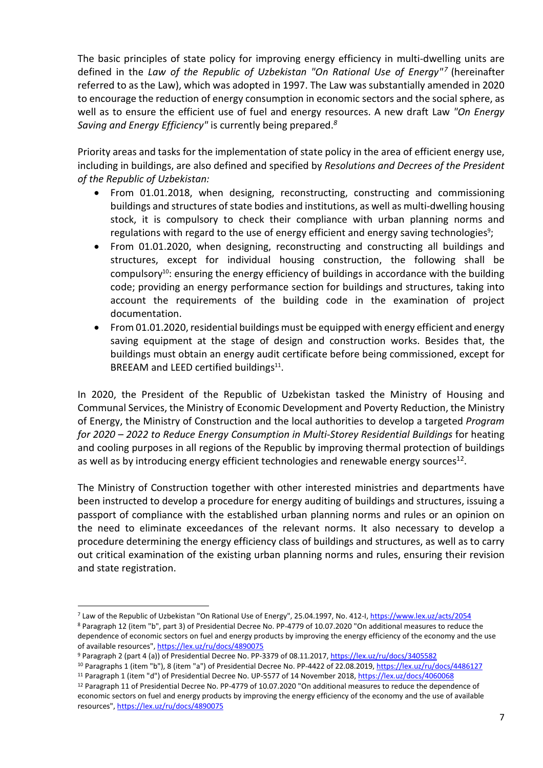The basic principles of state policy for improving energy efficiency in multi-dwelling units are defined in the *Law of the Republic of Uzbekistan "On Rational Use of Energy"<sup>7</sup>* (hereinafter referred to as the Law), which was adopted in 1997. The Law was substantially amended in 2020 to encourage the reduction of energy consumption in economic sectors and the social sphere, as well as to ensure the efficient use of fuel and energy resources. A new draft Law *"On Energy Saving and Energy Efficiency"* is currently being prepared.*<sup>8</sup>*

Priority areas and tasks for the implementation of state policy in the area of efficient energy use, including in buildings, are also defined and specified by *Resolutions and Decrees of the President of the Republic of Uzbekistan:* 

- From 01.01.2018, when designing, reconstructing, constructing and commissioning buildings and structures of state bodies and institutions, as well as multi-dwelling housing stock, it is compulsory to check their compliance with urban planning norms and regulations with regard to the use of energy efficient and energy saving technologies<sup>9</sup>;
- From 01.01.2020, when designing, reconstructing and constructing all buildings and structures, except for individual housing construction, the following shall be compulsory<sup>10</sup>: ensuring the energy efficiency of buildings in accordance with the building code; providing an energy performance section for buildings and structures, taking into account the requirements of the building code in the examination of project documentation.
- From 01.01.2020, residential buildings must be equipped with energy efficient and energy saving equipment at the stage of design and construction works. Besides that, the buildings must obtain an energy audit certificate before being commissioned, except for BREEAM and LEED certified buildings<sup>11</sup>.

In 2020, the President of the Republic of Uzbekistan tasked the Ministry of Housing and Communal Services, the Ministry of Economic Development and Poverty Reduction, the Ministry of Energy, the Ministry of Construction and the local authorities to develop a targeted *Program for 2020 – 2022 to Reduce Energy Consumption in Multi-Storey Residential Buildings* for heating and cooling purposes in all regions of the Republic by improving thermal protection of buildings as well as by introducing energy efficient technologies and renewable energy sources $^{12}$ .

The Ministry of Construction together with other interested ministries and departments have been instructed to develop a procedure for energy auditing of buildings and structures, issuing a passport of compliance with the established urban planning norms and rules or an opinion on the need to eliminate exceedances of the relevant norms. It also necessary to develop a procedure determining the energy efficiency class of buildings and structures, as well as to carry out critical examination of the existing urban planning norms and rules, ensuring their revision and state registration.

<sup>8</sup> Paragraph 12 (item "b", part 3) of Presidential Decree No. PP-4779 of 10.07.2020 "On additional measures to reduce the dependence of economic sectors on fuel and energy products by improving the energy efficiency of the economy and the use of available resources", https://lex.uz/ru/docs/4890075

<sup>12</sup> Paragraph 11 of Presidential Decree No. PP-4779 of 10.07.2020 "On additional measures to reduce the dependence of economic sectors on fuel and energy products by improving the energy efficiency of the economy and the use of available resources", https://lex.uz/ru/docs/4890075

<sup>&</sup>lt;sup>7</sup> Law of the Republic of Uzbekistan "On Rational Use of Energy", 25.04.1997, No. 412-I, <u>https://www.lex.uz/acts/2054</u>

<sup>&</sup>lt;sup>9</sup> Paragraph 2 (part 4 (a)) of Presidential Decree No. PP-3379 of 08.11.2017, https://lex.uz/ru/docs/3405582

<sup>10</sup> Paragraphs 1 (item "b"), 8 (item "a") of Presidential Decree No. PP-4422 of 22.08.2019, https://lex.uz/ru/docs/4486127 <sup>11</sup> Paragraph 1 (item "d") of Presidential Decree No. UP-5577 of 14 November 2018, https://lex.uz/docs/4060068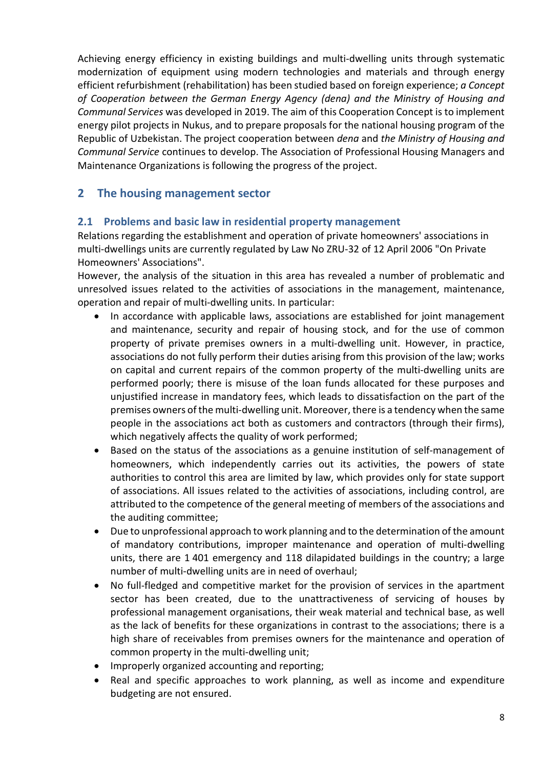Achieving energy efficiency in existing buildings and multi-dwelling units through systematic modernization of equipment using modern technologies and materials and through energy efficient refurbishment (rehabilitation) has been studied based on foreign experience; *a Concept of Cooperation between the German Energy Agency (dena) and the Ministry of Housing and Communal Services* was developed in 2019. The aim of this Cooperation Concept is to implement energy pilot projects in Nukus, and to prepare proposals for the national housing program of the Republic of Uzbekistan. The project cooperation between *dena* and *the Ministry of Housing and Communal Service* continues to develop. The Association of Professional Housing Managers and Maintenance Organizations is following the progress of the project.

# **2 The housing management sector**

#### **2.1 Problems and basic law in residential property management**

Relations regarding the establishment and operation of private homeowners' associations in multi-dwellings units are currently regulated by Law No ZRU-32 of 12 April 2006 "On Private Homeowners' Associations".

However, the analysis of the situation in this area has revealed a number of problematic and unresolved issues related to the activities of associations in the management, maintenance, operation and repair of multi-dwelling units. In particular:

- In accordance with applicable laws, associations are established for joint management and maintenance, security and repair of housing stock, and for the use of common property of private premises owners in a multi-dwelling unit. However, in practice, associations do not fully perform their duties arising from this provision of the law; works on capital and current repairs of the common property of the multi-dwelling units are performed poorly; there is misuse of the loan funds allocated for these purposes and unjustified increase in mandatory fees, which leads to dissatisfaction on the part of the premises owners of the multi-dwelling unit. Moreover, there is a tendency when the same people in the associations act both as customers and contractors (through their firms), which negatively affects the quality of work performed;
- Based on the status of the associations as a genuine institution of self-management of homeowners, which independently carries out its activities, the powers of state authorities to control this area are limited by law, which provides only for state support of associations. All issues related to the activities of associations, including control, are attributed to the competence of the general meeting of members of the associations and the auditing committee;
- Due to unprofessional approach to work planning and to the determination of the amount of mandatory contributions, improper maintenance and operation of multi-dwelling units, there are 1 401 emergency and 118 dilapidated buildings in the country; a large number of multi-dwelling units are in need of overhaul;
- No full-fledged and competitive market for the provision of services in the apartment sector has been created, due to the unattractiveness of servicing of houses by professional management organisations, their weak material and technical base, as well as the lack of benefits for these organizations in contrast to the associations; there is a high share of receivables from premises owners for the maintenance and operation of common property in the multi-dwelling unit;
- Improperly organized accounting and reporting;
- Real and specific approaches to work planning, as well as income and expenditure budgeting are not ensured.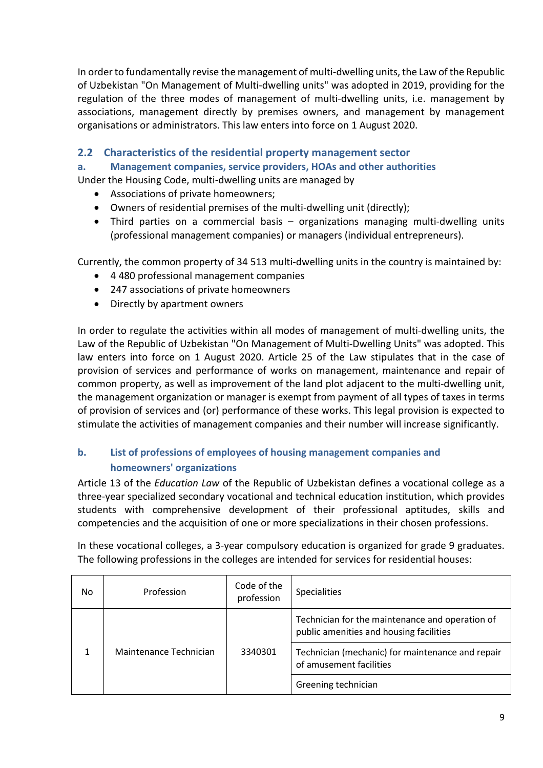In order to fundamentally revise the management of multi-dwelling units, the Law of the Republic of Uzbekistan "On Management of Multi-dwelling units" was adopted in 2019, providing for the regulation of the three modes of management of multi-dwelling units, i.e. management by associations, management directly by premises owners, and management by management organisations or administrators. This law enters into force on 1 August 2020.

#### **2.2 Characteristics of the residential property management sector**

#### **a. Management companies, service providers, HOAs and other authorities**

Under the Housing Code, multi-dwelling units are managed by

- Associations of private homeowners;
- Owners of residential premises of the multi-dwelling unit (directly);
- Third parties on a commercial basis organizations managing multi-dwelling units (professional management companies) or managers (individual entrepreneurs).

Currently, the common property of 34 513 multi-dwelling units in the country is maintained by:

- 4 480 professional management companies
- 247 associations of private homeowners
- Directly by apartment owners

In order to regulate the activities within all modes of management of multi-dwelling units, the Law of the Republic of Uzbekistan "On Management of Multi-Dwelling Units" was adopted. This law enters into force on 1 August 2020. Article 25 of the Law stipulates that in the case of provision of services and performance of works on management, maintenance and repair of common property, as well as improvement of the land plot adjacent to the multi-dwelling unit, the management organization or manager is exempt from payment of all types of taxes in terms of provision of services and (or) performance of these works. This legal provision is expected to stimulate the activities of management companies and their number will increase significantly.

#### **b. List of professions of employees of housing management companies and homeowners' organizations**

Article 13 of the *Education Law* of the Republic of Uzbekistan defines a vocational college as a three-year specialized secondary vocational and technical education institution, which provides students with comprehensive development of their professional aptitudes, skills and competencies and the acquisition of one or more specializations in their chosen professions.

In these vocational colleges, a 3-year compulsory education is organized for grade 9 graduates. The following professions in the colleges are intended for services for residential houses:

| No | Profession             | Code of the<br>profession | <b>Specialities</b>                                                                        |
|----|------------------------|---------------------------|--------------------------------------------------------------------------------------------|
|    | Maintenance Technician | 3340301                   | Technician for the maintenance and operation of<br>public amenities and housing facilities |
|    |                        |                           | Technician (mechanic) for maintenance and repair<br>of amusement facilities                |
|    |                        |                           | Greening technician                                                                        |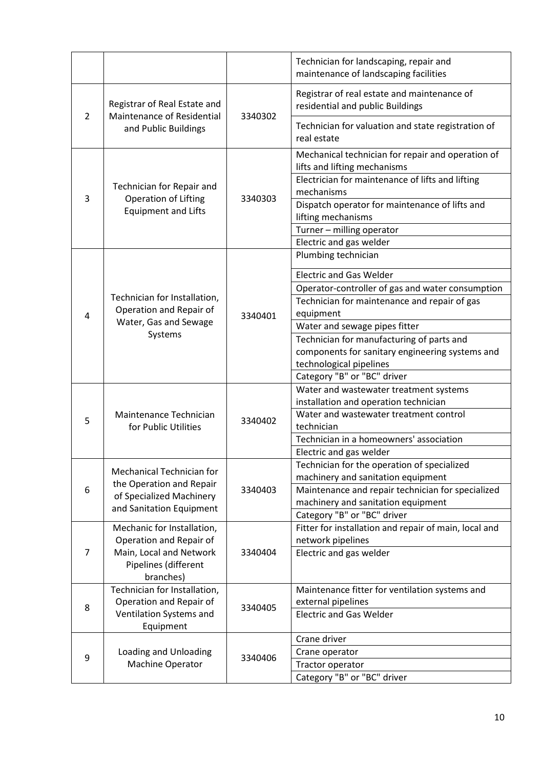|   |                                                                                                               |         | Technician for landscaping, repair and<br>maintenance of landscaping facilities   |
|---|---------------------------------------------------------------------------------------------------------------|---------|-----------------------------------------------------------------------------------|
|   | Registrar of Real Estate and<br>Maintenance of Residential<br>and Public Buildings                            | 3340302 | Registrar of real estate and maintenance of<br>residential and public Buildings   |
| 2 |                                                                                                               |         | Technician for valuation and state registration of<br>real estate                 |
|   | Technician for Repair and<br><b>Operation of Lifting</b><br><b>Equipment and Lifts</b>                        | 3340303 | Mechanical technician for repair and operation of<br>lifts and lifting mechanisms |
| 3 |                                                                                                               |         | Electrician for maintenance of lifts and lifting<br>mechanisms                    |
|   |                                                                                                               |         | Dispatch operator for maintenance of lifts and<br>lifting mechanisms              |
|   |                                                                                                               |         | Turner - milling operator                                                         |
|   |                                                                                                               |         | Electric and gas welder                                                           |
|   |                                                                                                               |         | Plumbing technician                                                               |
|   |                                                                                                               |         | <b>Electric and Gas Welder</b>                                                    |
|   |                                                                                                               |         | Operator-controller of gas and water consumption                                  |
|   | Technician for Installation,                                                                                  |         | Technician for maintenance and repair of gas                                      |
| 4 | Operation and Repair of                                                                                       | 3340401 | equipment                                                                         |
|   | Water, Gas and Sewage<br>Systems                                                                              |         | Water and sewage pipes fitter                                                     |
|   |                                                                                                               |         | Technician for manufacturing of parts and                                         |
|   |                                                                                                               |         | components for sanitary engineering systems and                                   |
|   |                                                                                                               |         | technological pipelines                                                           |
|   |                                                                                                               |         | Category "B" or "BC" driver                                                       |
|   |                                                                                                               |         | Water and wastewater treatment systems                                            |
|   |                                                                                                               |         | installation and operation technician                                             |
| 5 | Maintenance Technician<br>for Public Utilities                                                                | 3340402 | Water and wastewater treatment control                                            |
|   |                                                                                                               |         | technician                                                                        |
|   |                                                                                                               |         | Technician in a homeowners' association                                           |
|   |                                                                                                               |         | Electric and gas welder<br>Technician for the operation of specialized            |
|   | Mechanical Technician for<br>the Operation and Repair<br>of Specialized Machinery<br>and Sanitation Equipment | 3340403 | machinery and sanitation equipment                                                |
| 6 |                                                                                                               |         | Maintenance and repair technician for specialized                                 |
|   |                                                                                                               |         | machinery and sanitation equipment                                                |
|   |                                                                                                               |         | Category "B" or "BC" driver                                                       |
|   | Mechanic for Installation,<br>Operation and Repair of                                                         |         | Fitter for installation and repair of main, local and                             |
|   |                                                                                                               |         | network pipelines                                                                 |
| 7 | Main, Local and Network                                                                                       | 3340404 | Electric and gas welder                                                           |
|   | Pipelines (different                                                                                          |         |                                                                                   |
|   | branches)                                                                                                     |         |                                                                                   |
|   | Technician for Installation,                                                                                  | 3340405 | Maintenance fitter for ventilation systems and                                    |
| 8 | Operation and Repair of                                                                                       |         | external pipelines                                                                |
|   | Ventilation Systems and<br>Equipment                                                                          |         | <b>Electric and Gas Welder</b>                                                    |
|   | Loading and Unloading<br>Machine Operator                                                                     | 3340406 | Crane driver                                                                      |
|   |                                                                                                               |         | Crane operator                                                                    |
| 9 |                                                                                                               |         | Tractor operator                                                                  |
|   |                                                                                                               |         | Category "B" or "BC" driver                                                       |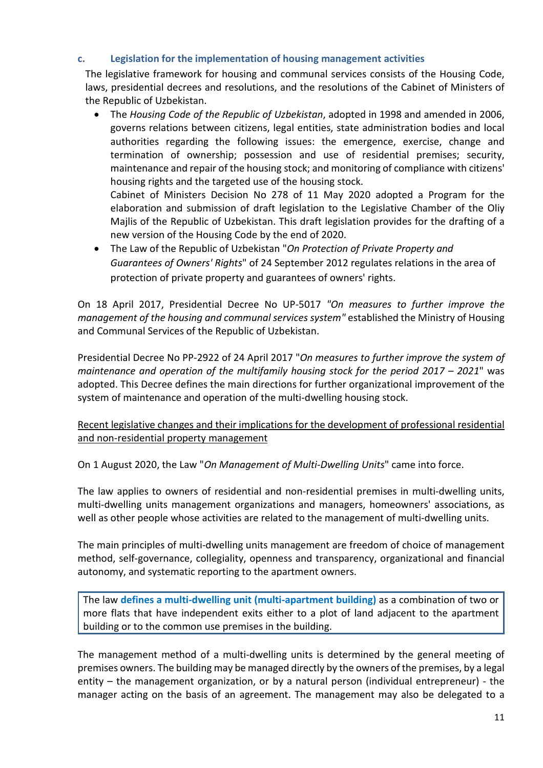#### **c. Legislation for the implementation of housing management activities**

The legislative framework for housing and communal services consists of the Housing Code, laws, presidential decrees and resolutions, and the resolutions of the Cabinet of Ministers of the Republic of Uzbekistan.

 The *Housing Code of the Republic of Uzbekistan*, adopted in 1998 and amended in 2006, governs relations between citizens, legal entities, state administration bodies and local authorities regarding the following issues: the emergence, exercise, change and termination of ownership; possession and use of residential premises; security, maintenance and repair of the housing stock; and monitoring of compliance with citizens' housing rights and the targeted use of the housing stock.

Cabinet of Ministers Decision No 278 of 11 May 2020 adopted a Program for the elaboration and submission of draft legislation to the Legislative Chamber of the Oliy Majlis of the Republic of Uzbekistan. This draft legislation provides for the drafting of a new version of the Housing Code by the end of 2020.

 The Law of the Republic of Uzbekistan "*On Protection of Private Property and Guarantees of Owners' Rights*" of 24 September 2012 regulates relations in the area of protection of private property and guarantees of owners' rights.

On 18 April 2017, Presidential Decree No UP-5017 *"On measures to further improve the management of the housing and communal services system"* established the Ministry of Housing and Communal Services of the Republic of Uzbekistan.

Presidential Decree No PP-2922 of 24 April 2017 "*On measures to further improve the system of maintenance and operation of the multifamily housing stock for the period 2017 – 2021*" was adopted. This Decree defines the main directions for further organizational improvement of the system of maintenance and operation of the multi-dwelling housing stock.

#### Recent legislative changes and their implications for the development of professional residential and non-residential property management

On 1 August 2020, the Law "*On Management of Multi-Dwelling Units*" came into force.

The law applies to owners of residential and non-residential premises in multi-dwelling units, multi-dwelling units management organizations and managers, homeowners' associations, as well as other people whose activities are related to the management of multi-dwelling units.

The main principles of multi-dwelling units management are freedom of choice of management method, self-governance, collegiality, openness and transparency, organizational and financial autonomy, and systematic reporting to the apartment owners.

The law **defines a multi-dwelling unit (multi-apartment building)** as a combination of two or more flats that have independent exits either to a plot of land adjacent to the apartment building or to the common use premises in the building.

The management method of a multi-dwelling units is determined by the general meeting of premises owners. The building may be managed directly by the owners of the premises, by a legal entity – the management organization, or by a natural person (individual entrepreneur) - the manager acting on the basis of an agreement. The management may also be delegated to a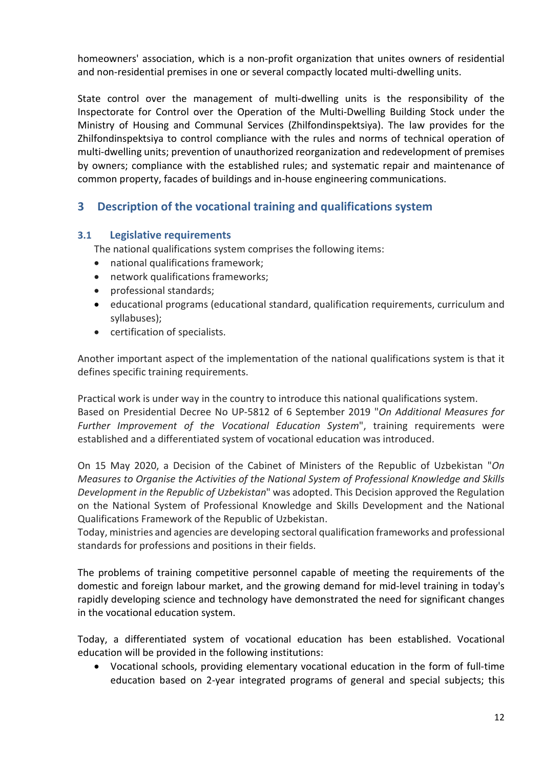homeowners' association, which is a non-profit organization that unites owners of residential and non-residential premises in one or several compactly located multi-dwelling units.

State control over the management of multi-dwelling units is the responsibility of the Inspectorate for Control over the Operation of the Multi-Dwelling Building Stock under the Ministry of Housing and Communal Services (Zhilfondinspektsiya). The law provides for the Zhilfondinspektsiya to control compliance with the rules and norms of technical operation of multi-dwelling units; prevention of unauthorized reorganization and redevelopment of premises by owners; compliance with the established rules; and systematic repair and maintenance of common property, facades of buildings and in-house engineering communications.

# **3 Description of the vocational training and qualifications system**

#### **3.1 Legislative requirements**

The national qualifications system comprises the following items:

- national qualifications framework;
- network qualifications frameworks;
- professional standards:
- educational programs (educational standard, qualification requirements, curriculum and syllabuses);
- certification of specialists.

Another important aspect of the implementation of the national qualifications system is that it defines specific training requirements.

Practical work is under way in the country to introduce this national qualifications system. Based on Presidential Decree No UP-5812 of 6 September 2019 "*On Additional Measures for Further Improvement of the Vocational Education System*", training requirements were established and a differentiated system of vocational education was introduced.

On 15 May 2020, a Decision of the Cabinet of Ministers of the Republic of Uzbekistan "*On Measures to Organise the Activities of the National System of Professional Knowledge and Skills Development in the Republic of Uzbekistan*" was adopted. This Decision approved the Regulation on the National System of Professional Knowledge and Skills Development and the National Qualifications Framework of the Republic of Uzbekistan.

Today, ministries and agencies are developing sectoral qualification frameworks and professional standards for professions and positions in their fields.

The problems of training competitive personnel capable of meeting the requirements of the domestic and foreign labour market, and the growing demand for mid-level training in today's rapidly developing science and technology have demonstrated the need for significant changes in the vocational education system.

Today, a differentiated system of vocational education has been established. Vocational education will be provided in the following institutions:

 Vocational schools, providing elementary vocational education in the form of full-time education based on 2-year integrated programs of general and special subjects; this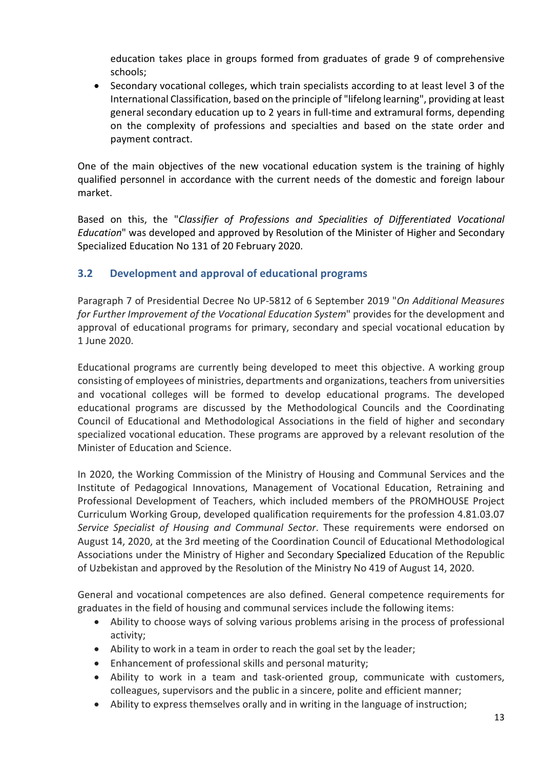education takes place in groups formed from graduates of grade 9 of comprehensive schools;

 Secondary vocational colleges, which train specialists according to at least level 3 of the International Classification, based on the principle of "lifelong learning", providing at least general secondary education up to 2 years in full-time and extramural forms, depending on the complexity of professions and specialties and based on the state order and payment contract.

One of the main objectives of the new vocational education system is the training of highly qualified personnel in accordance with the current needs of the domestic and foreign labour market.

Based on this, the "*Classifier of Professions and Specialities of Differentiated Vocational Education*" was developed and approved by Resolution of the Minister of Higher and Secondary Specialized Education No 131 of 20 February 2020.

# **3.2 Development and approval of educational programs**

Paragraph 7 of Presidential Decree No UP-5812 of 6 September 2019 "*On Additional Measures for Further Improvement of the Vocational Education System*" provides for the development and approval of educational programs for primary, secondary and special vocational education by 1 June 2020.

Educational programs are currently being developed to meet this objective. A working group consisting of employees of ministries, departments and organizations, teachers from universities and vocational colleges will be formed to develop educational programs. The developed educational programs are discussed by the Methodological Councils and the Coordinating Council of Educational and Methodological Associations in the field of higher and secondary specialized vocational education. These programs are approved by a relevant resolution of the Minister of Education and Science.

In 2020, the Working Commission of the Ministry of Housing and Communal Services and the Institute of Pedagogical Innovations, Management of Vocational Education, Retraining and Professional Development of Teachers, which included members of the PROMHOUSE Project Curriculum Working Group, developed qualification requirements for the profession 4.81.03.07 *Service Specialist of Housing and Communal Sector*. These requirements were endorsed on August 14, 2020, at the 3rd meeting of the Coordination Council of Educational Methodological Associations under the Ministry of Higher and Secondary Specialized Education of the Republic of Uzbekistan and approved by the Resolution of the Ministry No 419 of August 14, 2020.

General and vocational competences are also defined. General competence requirements for graduates in the field of housing and communal services include the following items:

- Ability to choose ways of solving various problems arising in the process of professional activity;
- Ability to work in a team in order to reach the goal set by the leader;
- Enhancement of professional skills and personal maturity;
- Ability to work in a team and task-oriented group, communicate with customers, colleagues, supervisors and the public in a sincere, polite and efficient manner;
- Ability to express themselves orally and in writing in the language of instruction;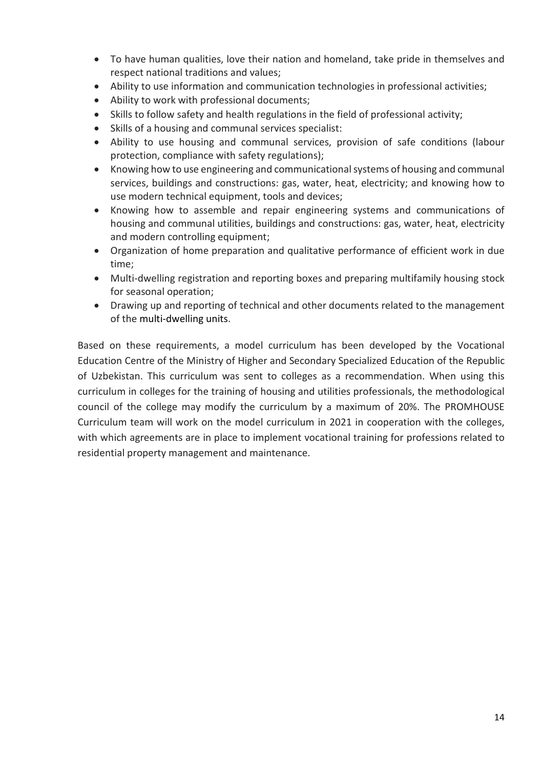- To have human qualities, love their nation and homeland, take pride in themselves and respect national traditions and values;
- Ability to use information and communication technologies in professional activities;
- Ability to work with professional documents;
- Skills to follow safety and health regulations in the field of professional activity;
- Skills of a housing and communal services specialist:
- Ability to use housing and communal services, provision of safe conditions (labour protection, compliance with safety regulations);
- Knowing how to use engineering and communicational systems of housing and communal services, buildings and constructions: gas, water, heat, electricity; and knowing how to use modern technical equipment, tools and devices;
- Knowing how to assemble and repair engineering systems and communications of housing and communal utilities, buildings and constructions: gas, water, heat, electricity and modern controlling equipment;
- Organization of home preparation and qualitative performance of efficient work in due time;
- Multi-dwelling registration and reporting boxes and preparing multifamily housing stock for seasonal operation;
- Drawing up and reporting of technical and other documents related to the management of the multi-dwelling units.

Based on these requirements, a model curriculum has been developed by the Vocational Education Centre of the Ministry of Higher and Secondary Specialized Education of the Republic of Uzbekistan. This curriculum was sent to colleges as a recommendation. When using this curriculum in colleges for the training of housing and utilities professionals, the methodological council of the college may modify the curriculum by a maximum of 20%. The PROMHOUSE Curriculum team will work on the model curriculum in 2021 in cooperation with the colleges, with which agreements are in place to implement vocational training for professions related to residential property management and maintenance.